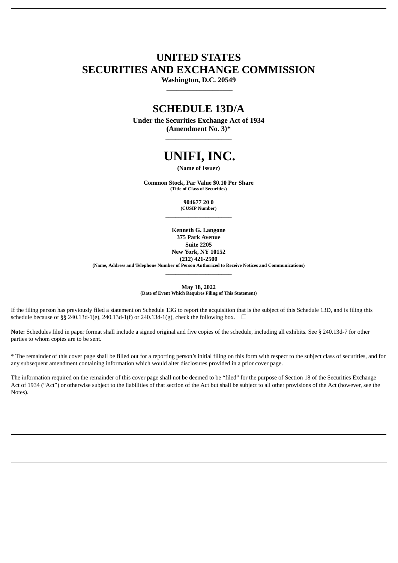## **UNITED STATES SECURITIES AND EXCHANGE COMMISSION**

**Washington, D.C. 20549 \_\_\_\_\_\_\_\_\_\_\_\_\_\_\_\_\_\_\_\_**

### **SCHEDULE 13D/A**

**Under the Securities Exchange Act of 1934 (Amendment No. 3)\* \_\_\_\_\_\_\_\_\_\_\_\_\_\_\_\_\_\_\_\_**

# **UNIFI, INC.**

**(Name of Issuer)**

**Common Stock, Par Value \$0.10 Per Share (Title of Class of Securities)**

> **904677 20 0 (CUSIP Number) \_\_\_\_\_\_\_\_\_\_\_\_\_\_\_\_\_\_\_\_**

**Kenneth G. Langone 375 Park Avenue Suite 2205 New York, NY 10152 (212) 421-2500 (Name, Address and Telephone Number of Person Authorized to Receive Notices and Communications)**

> **May 18, 2022 (Date of Event Which Requires Filing of This Statement)**

**\_\_\_\_\_\_\_\_\_\_\_\_\_\_\_\_\_\_\_\_**

If the filing person has previously filed a statement on Schedule 13G to report the acquisition that is the subject of this Schedule 13D, and is filing this schedule because of §§ 240.13d-1(e), 240.13d-1(f) or 240.13d-1(g), check the following box.  $\Box$ 

Note: Schedules filed in paper format shall include a signed original and five copies of the schedule, including all exhibits. See § 240.13d-7 for other parties to whom copies are to be sent.

\* The remainder of this cover page shall be filled out for a reporting person's initial filing on this form with respect to the subject class of securities, and for any subsequent amendment containing information which would alter disclosures provided in a prior cover page.

The information required on the remainder of this cover page shall not be deemed to be "filed" for the purpose of Section 18 of the Securities Exchange Act of 1934 ("Act") or otherwise subject to the liabilities of that section of the Act but shall be subject to all other provisions of the Act (however, see the Notes).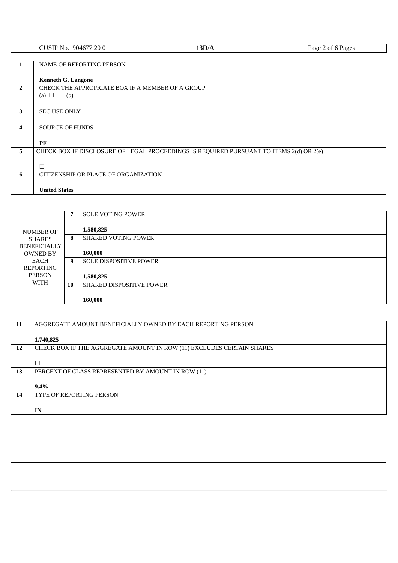|                | CUSIP No. 904677 200                             | 13D/A                                                                                   | Page 2 of 6 Pages |
|----------------|--------------------------------------------------|-----------------------------------------------------------------------------------------|-------------------|
|                |                                                  |                                                                                         |                   |
| $\mathbf{1}$   | <b>NAME OF REPORTING PERSON</b>                  |                                                                                         |                   |
|                |                                                  |                                                                                         |                   |
|                | <b>Kenneth G. Langone</b>                        |                                                                                         |                   |
| $\overline{2}$ | CHECK THE APPROPRIATE BOX IF A MEMBER OF A GROUP |                                                                                         |                   |
|                | (b) $\Box$<br>(a) $\Box$                         |                                                                                         |                   |
|                |                                                  |                                                                                         |                   |
| 3              | <b>SEC USE ONLY</b>                              |                                                                                         |                   |
|                |                                                  |                                                                                         |                   |
| 4              | <b>SOURCE OF FUNDS</b>                           |                                                                                         |                   |
|                |                                                  |                                                                                         |                   |
|                | PF                                               |                                                                                         |                   |
| 5              |                                                  | CHECK BOX IF DISCLOSURE OF LEGAL PROCEEDINGS IS REQUIRED PURSUANT TO ITEMS 2(d) OR 2(e) |                   |
|                |                                                  |                                                                                         |                   |
|                | П                                                |                                                                                         |                   |
| 6              | CITIZENSHIP OR PLACE OF ORGANIZATION             |                                                                                         |                   |
|                |                                                  |                                                                                         |                   |
|                | <b>United States</b>                             |                                                                                         |                   |

|                     | 7  | <b>SOLE VOTING POWER</b>        |
|---------------------|----|---------------------------------|
|                     |    |                                 |
| <b>NUMBER OF</b>    |    | 1,580,825                       |
| <b>SHARES</b>       | 8  | <b>SHARED VOTING POWER</b>      |
| <b>BENEFICIALLY</b> |    |                                 |
| <b>OWNED BY</b>     |    | 160,000                         |
| EACH                | 9  | <b>SOLE DISPOSITIVE POWER</b>   |
| REPORTING           |    |                                 |
| <b>PERSON</b>       |    | 1,580,825                       |
| WITH                | 10 | <b>SHARED DISPOSITIVE POWER</b> |
|                     |    |                                 |
|                     |    | 160,000                         |

| 11 | AGGREGATE AMOUNT BENEFICIALLY OWNED BY EACH REPORTING PERSON          |
|----|-----------------------------------------------------------------------|
|    |                                                                       |
|    | 1,740,825                                                             |
| 12 | CHECK BOX IF THE AGGREGATE AMOUNT IN ROW (11) EXCLUDES CERTAIN SHARES |
|    |                                                                       |
|    |                                                                       |
| 13 | PERCENT OF CLASS REPRESENTED BY AMOUNT IN ROW (11)                    |
|    |                                                                       |
|    | $9.4\%$                                                               |
| 14 | <b>TYPE OF REPORTING PERSON</b>                                       |
|    |                                                                       |
|    | IN                                                                    |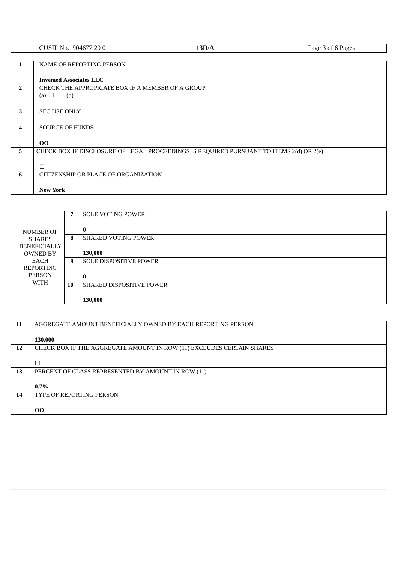|                         | CUSIP No. 904677 200                             | 13D/A                                                                                   | Page 3 of 6 Pages |
|-------------------------|--------------------------------------------------|-----------------------------------------------------------------------------------------|-------------------|
|                         |                                                  |                                                                                         |                   |
|                         |                                                  |                                                                                         |                   |
| 1                       | NAME OF REPORTING PERSON                         |                                                                                         |                   |
|                         |                                                  |                                                                                         |                   |
|                         | <b>Invemed Associates LLC</b>                    |                                                                                         |                   |
| $\overline{2}$          | CHECK THE APPROPRIATE BOX IF A MEMBER OF A GROUP |                                                                                         |                   |
|                         | (b) $\Box$<br>(a) $\Box$                         |                                                                                         |                   |
|                         |                                                  |                                                                                         |                   |
| $\mathbf{3}$            | <b>SEC USE ONLY</b>                              |                                                                                         |                   |
|                         |                                                  |                                                                                         |                   |
|                         |                                                  |                                                                                         |                   |
| $\overline{\mathbf{4}}$ | <b>SOURCE OF FUNDS</b>                           |                                                                                         |                   |
|                         |                                                  |                                                                                         |                   |
|                         | 00                                               |                                                                                         |                   |
| 5 <sup>5</sup>          |                                                  | CHECK BOX IF DISCLOSURE OF LEGAL PROCEEDINGS IS REQUIRED PURSUANT TO ITEMS 2(d) OR 2(e) |                   |
|                         |                                                  |                                                                                         |                   |
|                         | $\Box$                                           |                                                                                         |                   |
| 6                       | CITIZENSHIP OR PLACE OF ORGANIZATION             |                                                                                         |                   |
|                         |                                                  |                                                                                         |                   |
|                         | <b>New York</b>                                  |                                                                                         |                   |
|                         |                                                  |                                                                                         |                   |

|                     | 7  | <b>SOLE VOTING POWER</b>        |
|---------------------|----|---------------------------------|
| NUMBER OF           |    | $\bf{0}$                        |
| <b>SHARES</b>       | 8  | <b>SHARED VOTING POWER</b>      |
| <b>BENEFICIALLY</b> |    |                                 |
| <b>OWNED BY</b>     |    | 130,000                         |
| EACH                | 9  | <b>SOLE DISPOSITIVE POWER</b>   |
| REPORTING           |    |                                 |
| <b>PERSON</b>       |    | $\bf{0}$                        |
| WITH                | 10 | <b>SHARED DISPOSITIVE POWER</b> |
|                     |    |                                 |
|                     |    | 130,000                         |

| 11 | AGGREGATE AMOUNT BENEFICIALLY OWNED BY EACH REPORTING PERSON          |
|----|-----------------------------------------------------------------------|
|    |                                                                       |
|    | 130,000                                                               |
| 12 | CHECK BOX IF THE AGGREGATE AMOUNT IN ROW (11) EXCLUDES CERTAIN SHARES |
|    |                                                                       |
|    |                                                                       |
| 13 | PERCENT OF CLASS REPRESENTED BY AMOUNT IN ROW (11)                    |
|    |                                                                       |
|    | $0.7\%$                                                               |
| 14 | <b>TYPE OF REPORTING PERSON</b>                                       |
|    |                                                                       |
|    | <b>OO</b>                                                             |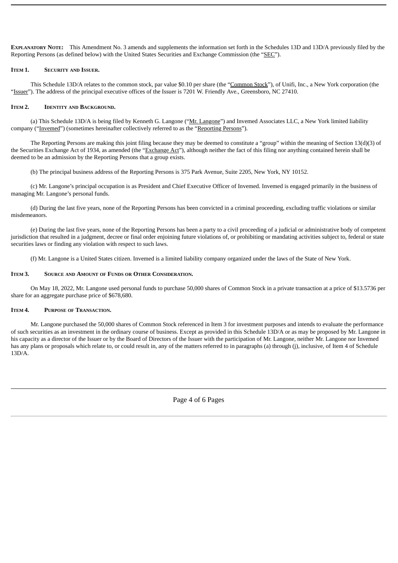**EXPLANATORY NOTE:** This Amendment No. 3 amends and supplements the information set forth in the Schedules 13D and 13D/A previously filed by the Reporting Persons (as defined below) with the United States Securities and Exchange Commission (the "SEC").

#### **ITEM 1. SECURITY AND ISSUER.**

This Schedule 13D/A relates to the common stock, par value \$0.10 per share (the "Common Stock"), of Unifi, Inc., a New York corporation (the "Issuer"). The address of the principal executive offices of the Issuer is 7201 W. Friendly Ave., Greensboro, NC 27410.

#### **ITEM 2. IDENTITY AND BACKGROUND.**

(a) This Schedule 13D/A is being filed by Kenneth G. Langone ("Mr. Langone") and Invemed Associates LLC, a New York limited liability company ("Invemed") (sometimes hereinafter collectively referred to as the "Reporting Persons").

The Reporting Persons are making this joint filing because they may be deemed to constitute a "group" within the meaning of Section 13(d)(3) of the Securities Exchange Act of 1934, as amended (the "Exchange Act"), although neither the fact of this filing nor anything contained herein shall be deemed to be an admission by the Reporting Persons that a group exists.

(b) The principal business address of the Reporting Persons is 375 Park Avenue, Suite 2205, New York, NY 10152.

(c) Mr. Langone's principal occupation is as President and Chief Executive Officer of Invemed. Invemed is engaged primarily in the business of managing Mr. Langone's personal funds.

(d) During the last five years, none of the Reporting Persons has been convicted in a criminal proceeding, excluding traffic violations or similar misdemeanors.

(e) During the last five years, none of the Reporting Persons has been a party to a civil proceeding of a judicial or administrative body of competent jurisdiction that resulted in a judgment, decree or final order enjoining future violations of, or prohibiting or mandating activities subject to, federal or state securities laws or finding any violation with respect to such laws.

(f) Mr. Langone is a United States citizen. Invemed is a limited liability company organized under the laws of the State of New York.

#### **ITEM 3. SOURCE AND AMOUNT OF FUNDS OR OTHER CONSIDERATION.**

On May 18, 2022, Mr. Langone used personal funds to purchase 50,000 shares of Common Stock in a private transaction at a price of \$13.5736 per share for an aggregate purchase price of \$678,680.

#### **ITEM 4. PURPOSE OF TRANSACTION.**

Mr. Langone purchased the 50,000 shares of Common Stock referenced in Item 3 for investment purposes and intends to evaluate the performance of such securities as an investment in the ordinary course of business. Except as provided in this Schedule 13D/A or as may be proposed by Mr. Langone in his capacity as a director of the Issuer or by the Board of Directors of the Issuer with the participation of Mr. Langone, neither Mr. Langone nor Invemed has any plans or proposals which relate to, or could result in, any of the matters referred to in paragraphs (a) through (j), inclusive, of Item 4 of Schedule 13D/A.

Page 4 of 6 Pages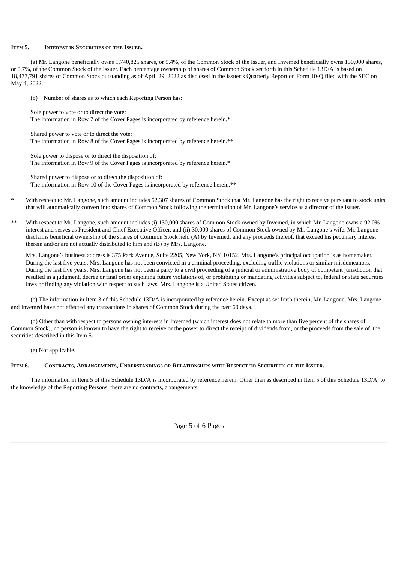#### **ITEM 5. INTEREST IN SECURITIES OF THE ISSUER.**

(a) Mr. Langone beneficially owns 1,740,825 shares, or 9.4%, of the Common Stock of the Issuer, and Invemed beneficially owns 130,000 shares, or 0.7%, of the Common Stock of the Issuer. Each percentage ownership of shares of Common Stock set forth in this Schedule 13D/A is based on 18,477,791 shares of Common Stock outstanding as of April 29, 2022 as disclosed in the Issuer's Quarterly Report on Form 10-Q filed with the SEC on May 4, 2022.

(b) Number of shares as to which each Reporting Person has:

Sole power to vote or to direct the vote: The information in Row 7 of the Cover Pages is incorporated by reference herein.\*

Shared power to vote or to direct the vote: The information in Row 8 of the Cover Pages is incorporated by reference herein.\*\*

Sole power to dispose or to direct the disposition of: The information in Row 9 of the Cover Pages is incorporated by reference herein.\*

Shared power to dispose or to direct the disposition of: The information in Row 10 of the Cover Pages is incorporated by reference herein.\*\*

- With respect to Mr. Langone, such amount includes 52,307 shares of Common Stock that Mr. Langone has the right to receive pursuant to stock units that will automatically convert into shares of Common Stock following the termination of Mr. Langone's service as a director of the Issuer.
- With respect to Mr. Langone, such amount includes (i) 130,000 shares of Common Stock owned by Invemed, in which Mr. Langone owns a 92.0% interest and serves as President and Chief Executive Officer, and (ii) 30,000 shares of Common Stock owned by Mr. Langone's wife. Mr. Langone disclaims beneficial ownership of the shares of Common Stock held (A) by Invemed, and any proceeds thereof, that exceed his pecuniary interest therein and/or are not actually distributed to him and (B) by Mrs. Langone.

Mrs. Langone's business address is 375 Park Avenue, Suite 2205, New York, NY 10152. Mrs. Langone's principal occupation is as homemaker. During the last five years, Mrs. Langone has not been convicted in a criminal proceeding, excluding traffic violations or similar misdemeanors. During the last five years, Mrs. Langone has not been a party to a civil proceeding of a judicial or administrative body of competent jurisdiction that resulted in a judgment, decree or final order enjoining future violations of, or prohibiting or mandating activities subject to, federal or state securities laws or finding any violation with respect to such laws. Mrs. Langone is a United States citizen.

(c) The information in Item 3 of this Schedule 13D/A is incorporated by reference herein. Except as set forth therein, Mr. Langone, Mrs. Langone and Invemed have not effected any transactions in shares of Common Stock during the past 60 days.

(d) Other than with respect to persons owning interests in Invemed (which interest does not relate to more than five percent of the shares of Common Stock), no person is known to have the right to receive or the power to direct the receipt of dividends from, or the proceeds from the sale of, the securities described in this Item 5.

(e) Not applicable.

#### ITEM 6. CONTRACTS, ARRANGEMENTS, UNDERSTANDINGS OR RELATIONSHIPS WITH RESPECT TO SECURITIES OF THE ISSUER.

The information in Item 5 of this Schedule 13D/A is incorporated by reference herein. Other than as described in Item 5 of this Schedule 13D/A, to the knowledge of the Reporting Persons, there are no contracts, arrangements,

Page 5 of 6 Pages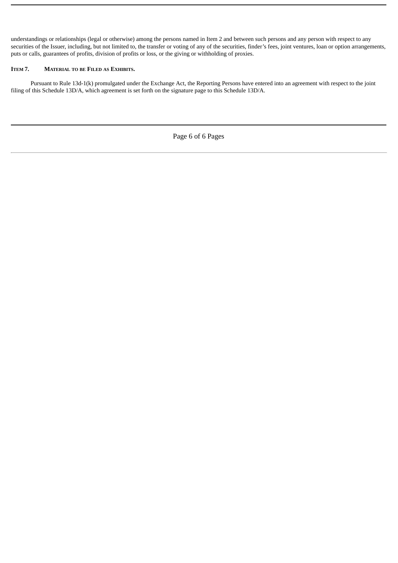understandings or relationships (legal or otherwise) among the persons named in Item 2 and between such persons and any person with respect to any securities of the Issuer, including, but not limited to, the transfer or voting of any of the securities, finder's fees, joint ventures, loan or option arrangements, puts or calls, guarantees of profits, division of profits or loss, or the giving or withholding of proxies.

#### **ITEM 7. MATERIAL TO BE FILED AS EXHIBITS.**

Pursuant to Rule 13d-1(k) promulgated under the Exchange Act, the Reporting Persons have entered into an agreement with respect to the joint filing of this Schedule 13D/A, which agreement is set forth on the signature page to this Schedule 13D/A.

Page 6 of 6 Pages